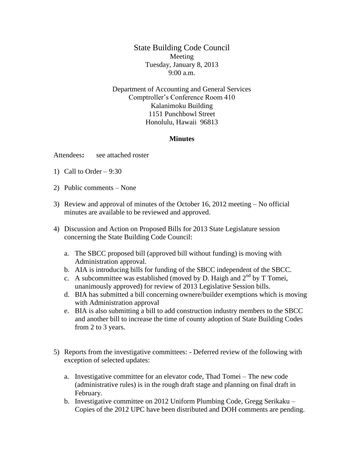State Building Code Council Meeting Tuesday, January 8, 2013 9:00 a.m.

Department of Accounting and General Services Comptroller's Conference Room 410 Kalanimoku Building 1151 Punchbowl Street Honolulu, Hawaii 96813

## **Minutes**

Attendees**:** see attached roster

- 1) Call to Order  $-9:30$
- 2) Public comments None
- 3) Review and approval of minutes of the October 16, 2012 meeting No official minutes are available to be reviewed and approved.
- 4) Discussion and Action on Proposed Bills for 2013 State Legislature session concerning the State Building Code Council:
	- a. The SBCC proposed bill (approved bill without funding) is moving with Administration approval.
	- b. AIA is introducing bills for funding of the SBCC independent of the SBCC.
	- c. A subcommittee was established (moved by D. Haigh and  $2<sup>nd</sup>$  by T Tomei, unanimously approved) for review of 2013 Legislative Session bills.
	- d. BIA has submitted a bill concerning ownere/builder exemptions which is moving with Administration approval
	- e. BIA is also submitting a bill to add construction industry members to the SBCC and another bill to increase the time of county adoption of State Building Codes from 2 to 3 years.
- 5) Reports from the investigative committees: Deferred review of the following with exception of selected updates:
	- a. Investigative committee for an elevator code, Thad Tomei The new code (administrative rules) is in the rough draft stage and planning on final draft in February.
	- b. Investigative committee on 2012 Uniform Plumbing Code, Gregg Serikaku Copies of the 2012 UPC have been distributed and DOH comments are pending.